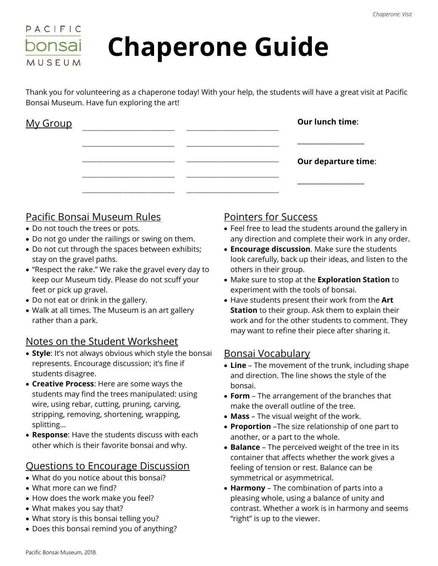

# **Chaperone Guide**

Thank you for volunteering as a chaperone today! With your help, the students will have a great visit at Pacific Bonsai Museum. Have fun exploring the art!

| My Group |  | Our lunch time:            |
|----------|--|----------------------------|
|          |  |                            |
|          |  | <b>Our departure time:</b> |
|          |  |                            |
|          |  |                            |

# Pacific Bonsai Museum Rules

- Do not touch the trees or pots.
- Do not go under the railings or swing on them.
- Do not cut through the spaces between exhibits; stay on the gravel paths.
- "Respect the rake." We rake the gravel every day to keep our Museum tidy. Please do not scuff your feet or pick up gravel.
- Do not eat or drink in the gallery.
- Walk at all times. The Museum is an art gallery rather than a park.

### Notes on the Student Worksheet

- **Style**: It's not always obvious which style the bonsai represents. Encourage discussion; it's fine if students disagree.
- **Creative Process**: Here are some ways the students may find the trees manipulated: using wire, using rebar, cutting, pruning, carving, stripping, removing, shortening, wrapping, splitting…
- **Response**: Have the students discuss with each other which is their favorite bonsai and why.

### Questions to Encourage Discussion

- What do you notice about this bonsai?
- What more can we find?
- How does the work make you feel?
- What makes you say that?
- What story is this bonsai telling you?
- Does this bonsai remind you of anything?

# Pointers for Success

- Feel free to lead the students around the gallery in any direction and complete their work in any order.
- **Encourage discussion**. Make sure the students look carefully, back up their ideas, and listen to the others in their group.
- Make sure to stop at the **Exploration Station** to experiment with the tools of bonsai.
- Have students present their work from the **Art Station** to their group. Ask them to explain their work and for the other students to comment. They may want to refine their piece after sharing it.

# Bonsai Vocabulary

- **Line** The movement of the trunk, including shape and direction. The line shows the style of the bonsai.
- **Form** The arrangement of the branches that make the overall outline of the tree.
- **Mass** The visual weight of the work.
- **Proportion** –The size relationship of one part to another, or a part to the whole.
- **Balance** The perceived weight of the tree in its container that affects whether the work gives a feeling of tension or rest. Balance can be symmetrical or asymmetrical.
- **Harmony** The combination of parts into a pleasing whole, using a balance of unity and contrast. Whether a work is in harmony and seems "right" is up to the viewer.